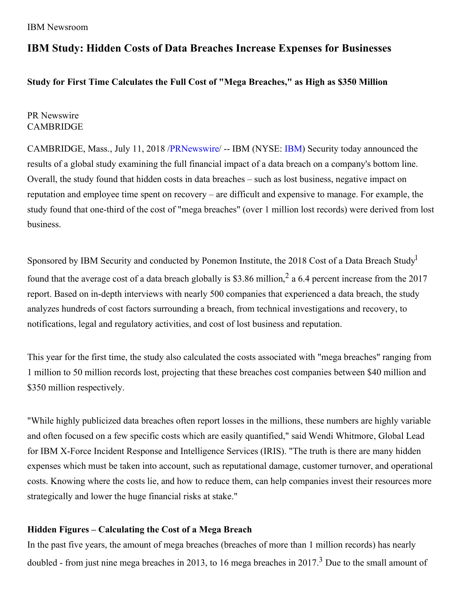# **IBM Study: Hidden Costs of Data Breaches Increase Expenses for Businesses**

## **Study for First Time Calculates the Full Cost of "Mega Breaches," as High as \$350 Million**

## PR Newswire **CAMBRIDGE**

CAMBRIDGE, Mass., July 11, 2018 [/PRNewswire](http://www.prnewswire.com/)/ -- IBM (NYSE: [IBM](http://www.ibm.com/investor)) Security today announced the results of a global study examining the full financial impact of a data breach on a company's bottom line. Overall, the study found that hidden costs in data breaches – such as lost business, negative impact on reputation and employee time spent on recovery – are difficult and expensive to manage. For example, the study found that one-third of the cost of "mega breaches" (over 1 million lost records) were derived from lost business.

Sponsored by IBM Security and conducted by Ponemon Institute, the 2018 Cost of a Data Breach Study<sup>1</sup> found that the average cost of a data breach globally is \$3.86 million,<sup>2</sup> a 6.4 percent increase from the 2017 report. Based on in-depth interviews with nearly 500 companies that experienced a data breach, the study analyzes hundreds of cost factors surrounding a breach, from technical investigations and recovery, to notifications, legal and regulatory activities, and cost of lost business and reputation.

This year for the first time, the study also calculated the costs associated with "mega breaches" ranging from 1 million to 50 million records lost, projecting that these breaches cost companies between \$40 million and \$350 million respectively.

"While highly publicized data breaches often report losses in the millions, these numbers are highly variable and often focused on a few specific costs which are easily quantified," said Wendi Whitmore, Global Lead for IBM X-Force Incident Response and Intelligence Services (IRIS). "The truth is there are many hidden expenses which must be taken into account, such as reputational damage, customer turnover, and operational costs. Knowing where the costs lie, and how to reduce them, can help companies invest their resources more strategically and lower the huge financial risks at stake."

## **Hidden Figures – Calculating the Cost of a Mega Breach**

In the past five years, the amount of mega breaches (breaches of more than 1 million records) has nearly doubled - from just nine mega breaches in 2013, to 16 mega breaches in 2017.<sup>3</sup> Due to the small amount of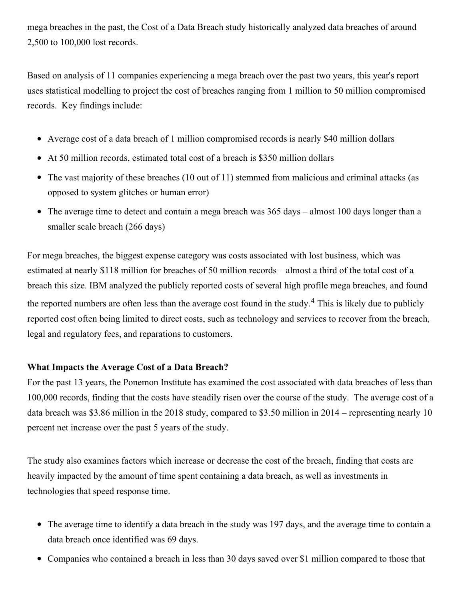mega breaches in the past, the Cost of a Data Breach study historically analyzed data breaches of around 2,500 to 100,000 lost records.

Based on analysis of 11 companies experiencing a mega breach over the past two years, this year's report uses statistical modelling to project the cost of breaches ranging from 1 million to 50 million compromised records. Key findings include:

- Average cost of a data breach of 1 million compromised records is nearly \$40 million dollars
- At 50 million records, estimated total cost of a breach is \$350 million dollars
- The vast majority of these breaches (10 out of 11) stemmed from malicious and criminal attacks (as opposed to system glitches or human error)
- The average time to detect and contain a mega breach was 365 days almost 100 days longer than a smaller scale breach (266 days)

For mega breaches, the biggest expense category was costs associated with lost business, which was estimated at nearly \$118 million for breaches of 50 million records – almost a third of the total cost of a breach this size. IBM analyzed the publicly reported costs of several high profile mega breaches, and found the reported numbers are often less than the average cost found in the study.<sup>4</sup> This is likely due to publicly reported cost often being limited to direct costs, such as technology and services to recover from the breach, legal and regulatory fees, and reparations to customers.

# **What Impacts the Average Cost of a Data Breach?**

For the past 13 years, the Ponemon Institute has examined the cost associated with data breaches of less than 100,000 records, finding that the costs have steadily risen over the course of the study. The average cost of a data breach was \$3.86 million in the 2018 study, compared to \$3.50 million in 2014 – representing nearly 10 percent net increase over the past 5 years of the study.

The study also examines factors which increase or decrease the cost of the breach, finding that costs are heavily impacted by the amount of time spent containing a data breach, as well as investments in technologies that speed response time.

- The average time to identify a data breach in the study was 197 days, and the average time to contain a data breach once identified was 69 days.
- Companies who contained a breach in less than 30 days saved over \$1 million compared to those that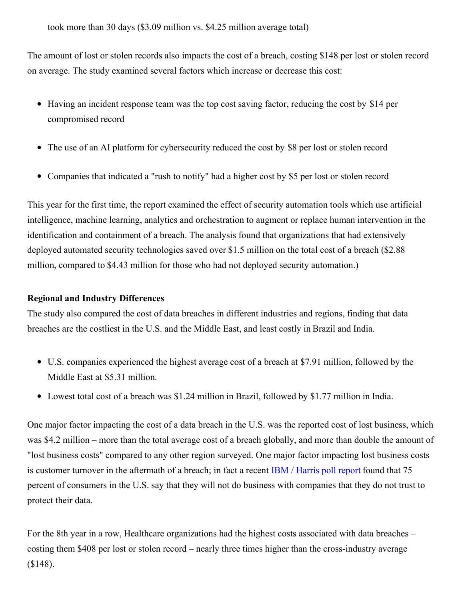took more than 30 days (\$3.09 million vs. \$4.25 million average total)

The amount of lost or stolen records also impacts the cost of a breach, costing \$148 per lost or stolen record on average. The study examined several factors which increase or decrease this cost:

- Having an incident response team was the top cost saving factor, reducing the cost by \$14 per compromised record
- The use of an AI platform for cybersecurity reduced the cost by \$8 per lost or stolen record
- Companies that indicated a "rush to notify" had a higher cost by \$5 per lost or stolen record

This year for the first time, the report examined the effect of security automation tools which use artificial intelligence, machine learning, analytics and orchestration to augment or replace human intervention in the identification and containment of a breach. The analysis found that organizations that had extensively deployed automated security technologies saved over \$1.5 million on the total cost of a breach (\$2.88 million, compared to \$4.43 million for those who had not deployed security automation.)

# **Regional and Industry Differences**

The study also compared the cost of data breaches in different industries and regions, finding that data breaches are the costliest in the U.S. and the Middle East, and least costly in Brazil and India.

- U.S. companies experienced the highest average cost of a breach at \$7.91 million, followed by the Middle East at \$5.31 million.
- Lowest total cost of a breach was \$1.24 million in Brazil, followed by \$1.77 million in India.

One major factor impacting the cost of a data breach in the U.S. was the reported cost of lost business, which was \$4.2 million – more than the total average cost of a breach globally, and more than double the amount of "lost business costs" compared to any other region surveyed. One major factor impacting lost business costs is customer turnover in the aftermath of a breach; in fact a recent IBM / [Harris](https://www.prnewswire.com/news-releases/new-survey-finds-deep-consumer-anxiety-over-data-privacy-and-security-300630067.html) poll report found that 75 percent of consumers in the U.S. say that they will not do business with companies that they do not trust to protect their data.

For the 8th year in a row, Healthcare organizations had the highest costs associated with data breaches – costing them \$408 per lost or stolen record – nearly three times higher than the cross-industry average (\$148).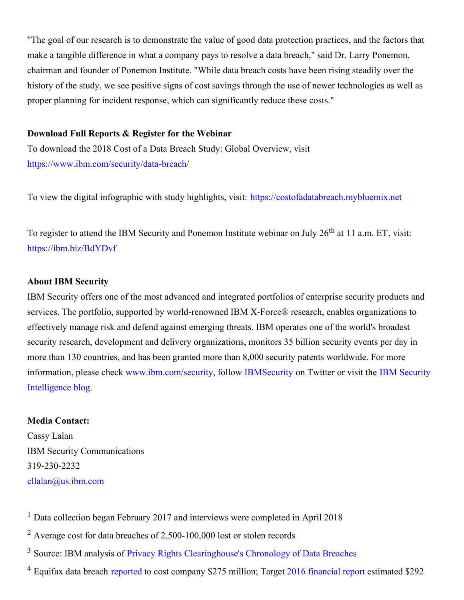"The goal of our research is to demonstrate the value of good data protection practices, and the factors that make a tangible difference in what a company pays to resolve a data breach," said Dr. Larry Ponemon, chairman and founder of Ponemon Institute. "While data breach costs have been rising steadily over the history of the study, we see positive signs of cost savings through the use of newer technologies as well as proper planning for incident response, which can significantly reduce these costs."

### **Download Full Reports & Register for the Webinar**

To download the 2018 Cost of a Data Breach Study: Global Overview, visit <https://www.ibm.com/security/data-breach/>

To view the digital infographic with study highlights, visit: [https://costofadatabreach.mybluemix.net](https://costofadatabreach.mybluemix.net/)

To register to attend the IBM Security and Ponemon Institute webinar on July 26<sup>th</sup> at 11 a.m. ET, visit: <https://ibm.biz/BdYDvf>

#### **About IBM Security**

IBM Security offers one of the most advanced and integrated portfolios of enterprise security products and services. The portfolio, supported by world-renowned IBM X-Force® research, enables organizations to effectively manage risk and defend against emerging threats. IBM operates one of the world's broadest security research, development and delivery organizations, monitors 35 billion security events per day in more than 130 countries, and has been granted more than 8,000 security patents worldwide. For more information, please check [w](http://securityintelligence.com/)[ww.ibm.com/securit](http://www.ibm.com/security)[y,](http://securityintelligence.com/) follow [IBMSecurity](https://twitter.com/ibmsecurity) on Twitter or visit the IBM Security Intelligence blog.

#### **Media Contact:**

Cassy Lalan IBM Security Communications 319-230-2232 [cllalan@us.ibm.com](mailto:cllalan@us.ibm.com)

<sup>1</sup> Data collection began February 2017 and interviews were completed in April 2018

- <sup>2</sup> Average cost for data breaches of 2,500-100,000 lost or stolen records
- <sup>3</sup> Source: IBM analysis of Privacy Rights [Clearinghouse's](https://www.privacyrights.org/data-breaches) Chronology of Data Breaches
- <sup>4</sup> Equifax data breach [reported](https://www.reuters.com/article/us-equifax-cyber/equifax-breach-could-be-most-costly-in-corporate-history-idUSKCN1GE257) to cost company \$275 million; Target 2016 [financial](https://corporate.target.com/_media/TargetCorp/annualreports/2016/pdfs/Target-2016-Annual-Report.pdf) report estimated \$292